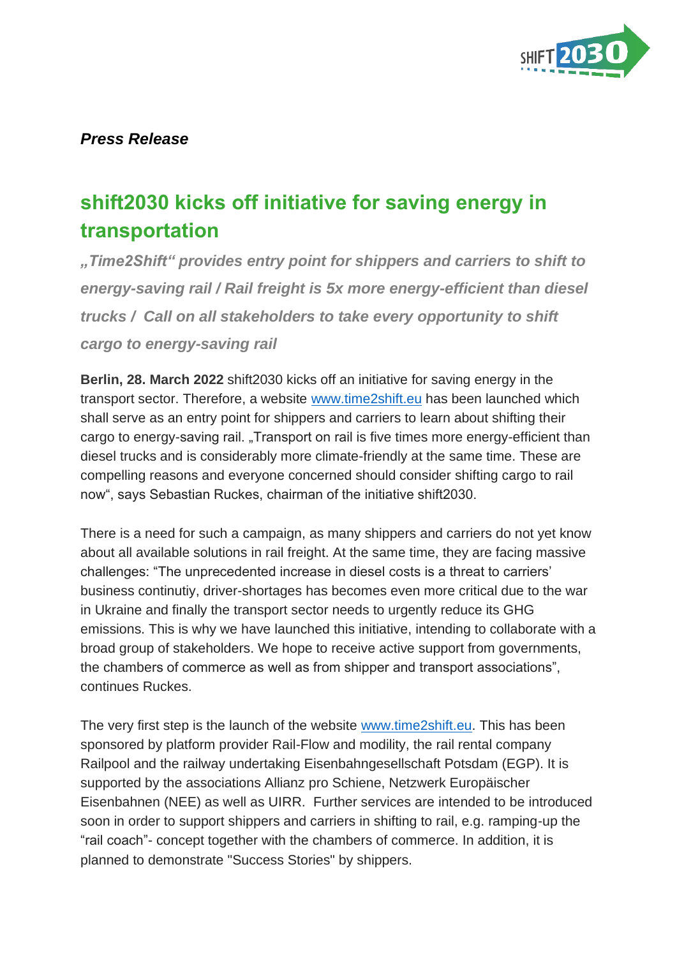

## *Press Release*

## **shift2030 kicks off initiative for saving energy in transportation**

*"Time2Shift" provides entry point for shippers and carriers to shift to energy-saving rail / Rail freight is 5x more energy-efficient than diesel trucks / Call on all stakeholders to take every opportunity to shift cargo to energy-saving rail*

**Berlin, 28. March 2022** shift2030 kicks off an initiative for saving energy in the transport sector. Therefore, a website [www.time2shift.eu](http://www.time2shift.eu/) has been launched which shall serve as an entry point for shippers and carriers to learn about shifting their cargo to energy-saving rail. "Transport on rail is five times more energy-efficient than diesel trucks and is considerably more climate-friendly at the same time. These are compelling reasons and everyone concerned should consider shifting cargo to rail now", says Sebastian Ruckes, chairman of the initiative shift2030.

There is a need for such a campaign, as many shippers and carriers do not yet know about all available solutions in rail freight. At the same time, they are facing massive challenges: "The unprecedented increase in diesel costs is a threat to carriers' business continutiy, driver-shortages has becomes even more critical due to the war in Ukraine and finally the transport sector needs to urgently reduce its GHG emissions. This is why we have launched this initiative, intending to collaborate with a broad group of stakeholders. We hope to receive active support from governments, the chambers of commerce as well as from shipper and transport associations", continues Ruckes.

The very first step is the launch of the website [www.time2shift.eu.](http://www.time2shift.eu/) This has been sponsored by platform provider Rail-Flow and modility, the rail rental company Railpool and the railway undertaking Eisenbahngesellschaft Potsdam (EGP). It is supported by the associations Allianz pro Schiene, Netzwerk Europäischer Eisenbahnen (NEE) as well as UIRR. Further services are intended to be introduced soon in order to support shippers and carriers in shifting to rail, e.g. ramping-up the "rail coach"- concept together with the chambers of commerce. In addition, it is planned to demonstrate "Success Stories" by shippers.